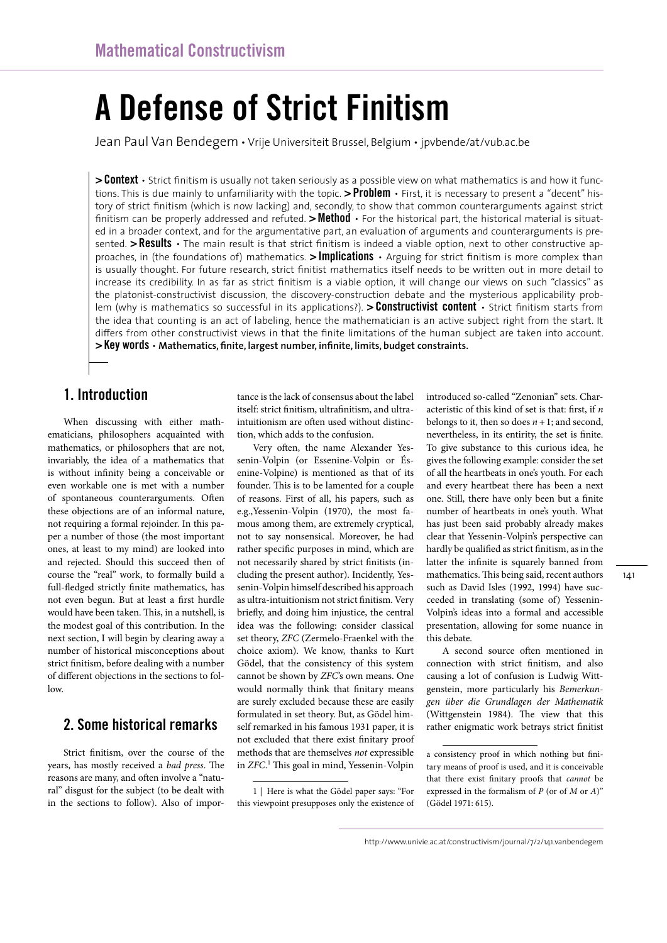# **A Defense of Strict Finitism**

Jean Paul Van Bendegem • Vrije Universiteit Brussel, Belgium • jpvbende/at/vub.ac.be

**>Context** • Strict finitism is usually not taken seriously as a possible view on what mathematics is and how it functions. This is due mainly to unfamiliarity with the topic. **>Problem** • First, it is necessary to present a "decent" history of strict finitism (which is now lacking) and, secondly, to show that common counterarguments against strict finitism can be properly addressed and refuted. **>Method** • For the historical part, the historical material is situated in a broader context, and for the argumentative part, an evaluation of arguments and counterarguments is presented. **>Results** • The main result is that strict finitism is indeed a viable option, next to other constructive approaches, in (the foundations of) mathematics. **>Implications** • Arguing for strict finitism is more complex than is usually thought. For future research, strict finitist mathematics itself needs to be written out in more detail to increase its credibility. In as far as strict finitism is a viable option, it will change our views on such "classics" as the platonist-constructivist discussion, the discovery-construction debate and the mysterious applicability problem (why is mathematics so successful in its applications?). **>Constructivist content** • Strict finitism starts from the idea that counting is an act of labeling, hence the mathematician is an active subject right from the start. It differs from other constructivist views in that the finite limitations of the human subject are taken into account. **>Key words** • **Mathematics, finite, largest number, infinite, limits, budget constraints.**

# **1. Introduction**

When discussing with either mathematicians, philosophers acquainted with mathematics, or philosophers that are not, invariably, the idea of a mathematics that is without infinity being a conceivable or even workable one is met with a number of spontaneous counterarguments. Often these objections are of an informal nature, not requiring a formal rejoinder. In this paper a number of those (the most important ones, at least to my mind) are looked into and rejected. Should this succeed then of course the "real" work, to formally build a full-fledged strictly finite mathematics, has not even begun. But at least a first hurdle would have been taken. This, in a nutshell, is the modest goal of this contribution. In the next section, I will begin by clearing away a number of historical misconceptions about strict finitism, before dealing with a number of different objections in the sections to follow.

# **2. Some historical remarks**

Strict finitism, over the course of the years, has mostly received a *bad press*. The reasons are many, and often involve a "natural" disgust for the subject (to be dealt with in the sections to follow). Also of importance is the lack of consensus about the label itself: strict finitism, ultrafinitism, and ultraintuitionism are often used without distinction, which adds to the confusion.

Very often, the name Alexander Yessenin-Volpin (or Essenine-Volpin or Ésenine-Volpine) is mentioned as that of its founder. This is to be lamented for a couple of reasons. First of all, his papers, such as e.g.,Yessenin-Volpin (1970), the most famous among them, are extremely cryptical, not to say nonsensical. Moreover, he had rather specific purposes in mind, which are not necessarily shared by strict finitists (including the present author). Incidently, Yessenin-Volpin himself described his approach as ultra-intuitionism not strict finitism. Very briefly, and doing him injustice, the central idea was the following: consider classical set theory, *ZFC* (Zermelo-Fraenkel with the choice axiom). We know, thanks to Kurt Gödel, that the consistency of this system cannot be shown by *ZFC*'s own means. One would normally think that finitary means are surely excluded because these are easily formulated in set theory. But, as Gödel himself remarked in his famous 1931 paper, it is not excluded that there exist finitary proof methods that are themselves *not* expressible in *ZFC*.<sup>1</sup> This goal in mind, Yessenin-Volpin

1 | Here is what the Gödel paper says: "For this viewpoint presupposes only the existence of introduced so-called "Zenonian" sets. Characteristic of this kind of set is that: first, if *n* belongs to it, then so does  $n+1$ ; and second, nevertheless, in its entirity, the set is finite. To give substance to this curious idea, he gives the following example: consider the set of all the heartbeats in one's youth. For each and every heartbeat there has been a next one. Still, there have only been but a finite number of heartbeats in one's youth. What has just been said probably already makes clear that Yessenin-Volpin's perspective can hardly be qualified as strict finitism, as in the latter the infinite is squarely banned from mathematics. This being said, recent authors such as David Isles (1992, 1994) have succeeded in translating (some of) Yessenin-Volpin's ideas into a formal and accessible presentation, allowing for some nuance in this debate.

A second source often mentioned in connection with strict finitism, and also causing a lot of confusion is Ludwig Wittgenstein, more particularly his *Bemerkungen über die Grundlagen der Mathematik* (Wittgenstein 1984). The view that this rather enigmatic work betrays strict finitist

http://www.univie.ac.at/constructivism/journal/7/2/141.vanbendegem

a consistency proof in which nothing but finitary means of proof is used, and it is conceivable that there exist finitary proofs that *cannot* be expressed in the formalism of *P* (or of *M* or *A*)" (Gödel 1971: 615).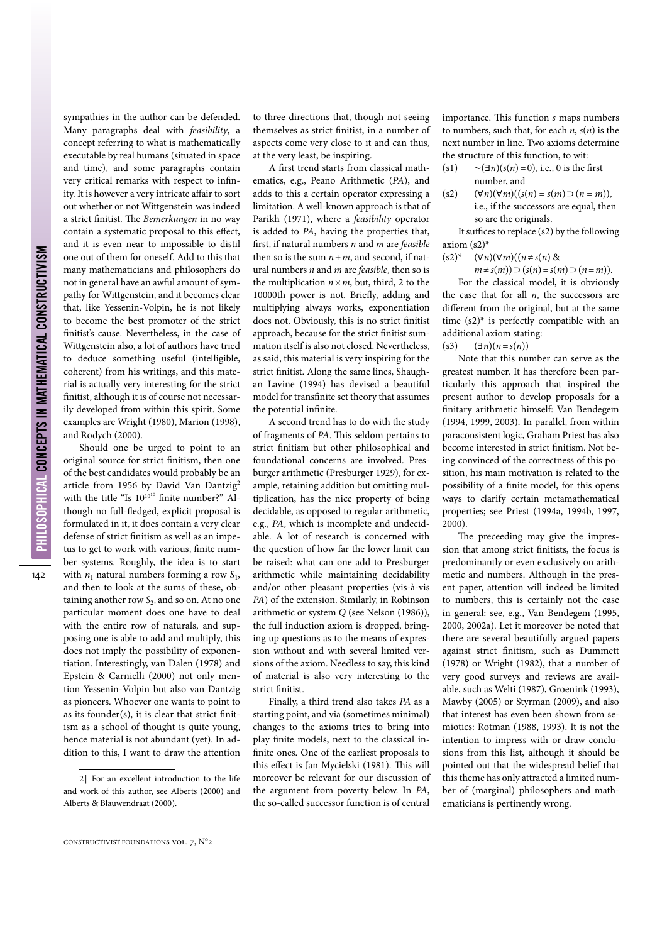sympathies in the author can be defended. Many paragraphs deal with *feasibility*, a concept referring to what is mathematically executable by real humans (situated in space and time), and some paragraphs contain very critical remarks with respect to infinity. It is however a very intricate affair to sort out whether or not Wittgenstein was indeed a strict finitist. The *Bemerkungen* in no way contain a systematic proposal to this effect, and it is even near to impossible to distil one out of them for oneself. Add to this that many mathematicians and philosophers do not in general have an awful amount of sympathy for Wittgenstein, and it becomes clear that, like Yessenin-Volpin, he is not likely to become the best promoter of the strict finitist's cause. Nevertheless, in the case of Wittgenstein also, a lot of authors have tried to deduce something useful (intelligible, coherent) from his writings, and this material is actually very interesting for the strict finitist, although it is of course not necessarily developed from within this spirit. Some examples are Wright (1980), Marion (1998), and Rodych (2000).

Should one be urged to point to an original source for strict finitism, then one of the best candidates would probably be an article from 1956 by David Van Dantzig<sup>2</sup> with the title "Is  $10^{10^{10}}$  finite number?" Although no full-fledged, explicit proposal is formulated in it, it does contain a very clear defense of strict finitism as well as an impetus to get to work with various, finite number systems. Roughly, the idea is to start with  $n_1$  natural numbers forming a row  $S_1$ , and then to look at the sums of these, obtaining another row  $S_2$ , and so on. At no one particular moment does one have to deal with the entire row of naturals, and supposing one is able to add and multiply, this does not imply the possibility of exponentiation. Interestingly, van Dalen (1978) and Epstein & Carnielli (2000) not only mention Yessenin-Volpin but also van Dantzig as pioneers. Whoever one wants to point to as its founder(s), it is clear that strict finitism as a school of thought is quite young, hence material is not abundant (yet). In addition to this, I want to draw the attention

to three directions that, though not seeing themselves as strict finitist, in a number of aspects come very close to it and can thus, at the very least, be inspiring.

A first trend starts from classical mathematics, e.g., Peano Arithmetic (*PA*), and adds to this a certain operator expressing a limitation. A well-known approach is that of Parikh (1971), where a *feasibility* operator is added to *PA*, having the properties that, first, if natural numbers *n* and *m* are *feasible* then so is the sum  $n+m$ , and second, if natural numbers *n* and *m* are *feasible*, then so is the multiplication  $n \times m$ , but, third, 2 to the 10000th power is not. Briefly, adding and multiplying always works, exponentiation does not. Obviously, this is no strict finitist approach, because for the strict finitist summation itself is also not closed. Nevertheless, as said, this material is very inspiring for the strict finitist. Along the same lines, Shaughan Lavine (1994) has devised a beautiful model for transfinite set theory that assumes the potential infinite.

A second trend has to do with the study of fragments of *PA*. This seldom pertains to strict finitism but other philosophical and foundational concerns are involved. Presburger arithmetic (Presburger 1929), for example, retaining addition but omitting multiplication, has the nice property of being decidable, as opposed to regular arithmetic, e.g., *PA*, which is incomplete and undecidable. A lot of research is concerned with the question of how far the lower limit can be raised: what can one add to Presburger arithmetic while maintaining decidability and/or other pleasant properties (vis-à-vis *PA*) of the extension. Similarly, in Robinson arithmetic or system *Q* (see Nelson (1986)), the full induction axiom is dropped, bringing up questions as to the means of expression without and with several limited versions of the axiom. Needless to say, this kind of material is also very interesting to the strict finitist.

Finally, a third trend also takes *PA* as a starting point, and via (sometimes minimal) changes to the axioms tries to bring into play finite models, next to the classical infinite ones. One of the earliest proposals to this effect is Jan Mycielski (1981). This will moreover be relevant for our discussion of the argument from poverty below. In *PA*, the so-called successor function is of central

importance. This function *s* maps numbers to numbers, such that, for each  $n$ ,  $s(n)$  is the next number in line. Two axioms determine the structure of this function, to wit:

- (s1) ∼(∃*n*)(*s*(*n*)=0), i.e., 0 is the first number, and
- (s2)  $(∀n)(∀m)((s(n) = s(m) ⊃ (n = m)),$ i.e., if the successors are equal, then so are the originals.

It suffices to replace (s2) by the following axiom  $(s2)^*$ 

(s2)\* (∀*n*)(∀*m*)((*n*≠*s*(*n*) &

 $m ≠ s(m)$ ) ⊃ ( $s(n) = s(m)$  ⊃ ( $n = m$ )).

For the classical model, it is obviously the case that for all *n*, the successors are different from the original, but at the same time  $(s2)^*$  is perfectly compatible with an additional axiom stating:

(s3) (∃*n*)(*n*=*s*(*n*))

Note that this number can serve as the greatest number. It has therefore been particularly this approach that inspired the present author to develop proposals for a finitary arithmetic himself: Van Bendegem (1994, 1999, 2003). In parallel, from within paraconsistent logic, Graham Priest has also become interested in strict finitism. Not being convinced of the correctness of this position, his main motivation is related to the possibility of a finite model, for this opens ways to clarify certain metamathematical properties; see Priest (1994a, 1994b, 1997, 2000).

The preceeding may give the impression that among strict finitists, the focus is predominantly or even exclusively on arithmetic and numbers. Although in the present paper, attention will indeed be limited to numbers, this is certainly not the case in general: see, e.g., Van Bendegem (1995, 2000, 2002a). Let it moreover be noted that there are several beautifully argued papers against strict finitism, such as Dummett (1978) or Wright (1982), that a number of very good surveys and reviews are available, such as Welti (1987), Groenink (1993), Mawby (2005) or Styrman (2009), and also that interest has even been shown from semiotics: Rotman (1988, 1993). It is not the intention to impress with or draw conclusions from this list, although it should be pointed out that the widespread belief that this theme has only attracted a limited number of (marginal) philosophers and mathematicians is pertinently wrong.

<sup>2 |</sup> For an excellent introduction to the life and work of this author, see Alberts (2000) and Alberts & Blauwendraat (2000).

Constructivist Foundations vol. 7, N°2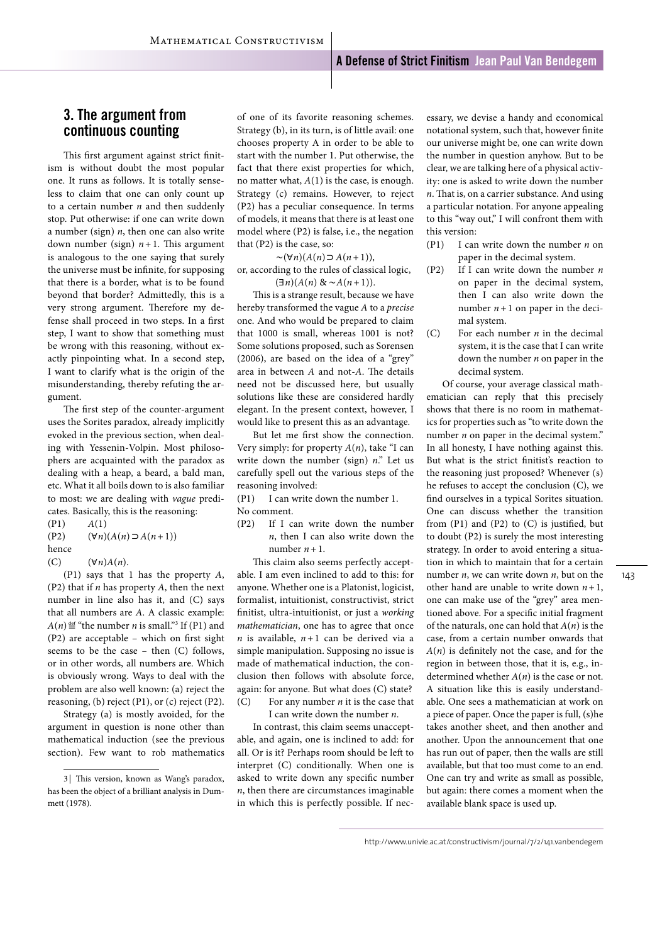#### **3. The argument from continuous counting**

This first argument against strict finitism is without doubt the most popular one. It runs as follows. It is totally senseless to claim that one can only count up to a certain number *n* and then suddenly stop. Put otherwise: if one can write down a number (sign) *n*, then one can also write down number (sign) *n*+ 1. This argument is analogous to the one saying that surely the universe must be infinite, for supposing that there is a border, what is to be found beyond that border? Admittedly, this is a very strong argument. Therefore my defense shall proceed in two steps. In a first step, I want to show that something must be wrong with this reasoning, without exactly pinpointing what. In a second step, I want to clarify what is the origin of the misunderstanding, thereby refuting the argument.

The first step of the counter-argument uses the Sorites paradox, already implicitly evoked in the previous section, when dealing with Yessenin-Volpin. Most philosophers are acquainted with the paradox as dealing with a heap, a beard, a bald man, etc. What it all boils down to is also familiar to most: we are dealing with *vague* predicates. Basically, this is the reasoning:

$$
\begin{array}{cc}\n\text{(P1)} & A(1) \\
\text{(P2)} & A(1) \\
\end{array}
$$

- (P2) (∀*n*)(*A*(*n*)⊃*A*(*n* + 1)) hence
- 
- (C) (∀*n*)*A*(*n*).

(P1) says that 1 has the property *A*, (P2) that if *n* has property *A*, then the next number in line also has it, and (C) says that all numbers are *A*. A classic example:  $A(n) \stackrel{\text{def}}{=}$  "the number *n* is small."<sup>3</sup> If (P1) and (P2) are acceptable – which on first sight seems to be the case – then (C) follows, or in other words, all numbers are. Which is obviously wrong. Ways to deal with the problem are also well known: (a) reject the reasoning, (b) reject (P1), or (c) reject (P2).

Strategy (a) is mostly avoided, for the argument in question is none other than mathematical induction (see the previous section). Few want to rob mathematics of one of its favorite reasoning schemes. Strategy (b), in its turn, is of little avail: one chooses property A in order to be able to start with the number 1. Put otherwise, the fact that there exist properties for which, no matter what, *A*(1) is the case, is enough. Strategy (c) remains. However, to reject (P2) has a peculiar consequence. In terms of models, it means that there is at least one model where (P2) is false, i.e., the negation that (P2) is the case, so:

∼(∀*n*)(*A*(*n*)⊃*A*(*n*+ 1)),

or, according to the rules of classical logic, (∃*n*)(*A*(*n*) & ∼*A*(*n*+ 1)).

This is a strange result, because we have hereby transformed the vague *A* to a *precise* one. And who would be prepared to claim that 1000 is small, whereas 1001 is not? Some solutions proposed, such as Sorensen (2006), are based on the idea of a "grey" area in between *A* and not-*A*. The details need not be discussed here, but usually solutions like these are considered hardly elegant. In the present context, however, I would like to present this as an advantage.

But let me first show the connection. Very simply: for property *A*(*n*), take "I can write down the number (sign) *n*." Let us carefully spell out the various steps of the reasoning involved:

(P1) I can write down the number 1. No comment.

(P2) If I can write down the number *n*, then I can also write down the number  $n + 1$ 

This claim also seems perfectly acceptable. I am even inclined to add to this: for anyone. Whether one is a Platonist, logicist, formalist, intuitionist, constructivist, strict finitist, ultra-intuitionist, or just a *working mathematician*, one has to agree that once  $n$  is available,  $n+1$  can be derived via a simple manipulation. Supposing no issue is made of mathematical induction, the conclusion then follows with absolute force, again: for anyone. But what does (C) state? (C) For any number *n* it is the case that

I can write down the number *n*.

In contrast, this claim seems unacceptable, and again, one is inclined to add: for all. Or is it? Perhaps room should be left to interpret (C) conditionally. When one is asked to write down any specific number *n*, then there are circumstances imaginable in which this is perfectly possible. If necessary, we devise a handy and economical notational system, such that, however finite our universe might be, one can write down the number in question anyhow. But to be clear, we are talking here of a physical activity: one is asked to write down the number *n*. That is, on a carrier substance. And using a particular notation. For anyone appealing to this "way out," I will confront them with this version:

- (P1) I can write down the number *n* on paper in the decimal system.
- (P2) If I can write down the number *n*  on paper in the decimal system, then I can also write down the number  $n+1$  on paper in the decimal system.
- (C) For each number *n* in the decimal system, it is the case that I can write down the number *n* on paper in the decimal system.

Of course, your average classical mathematician can reply that this precisely shows that there is no room in mathematics for properties such as "to write down the number *n* on paper in the decimal system." In all honesty, I have nothing against this. But what is the strict finitist's reaction to the reasoning just proposed? Whenever (s) he refuses to accept the conclusion (C), we find ourselves in a typical Sorites situation. One can discuss whether the transition from  $(P1)$  and  $(P2)$  to  $(C)$  is justified, but to doubt (P2) is surely the most interesting strategy. In order to avoid entering a situation in which to maintain that for a certain number *n*, we can write down *n*, but on the other hand are unable to write down  $n+1$ , one can make use of the "grey" area mentioned above. For a specific initial fragment of the naturals, one can hold that *A*(*n*) is the case, from a certain number onwards that  $A(n)$  is definitely not the case, and for the region in between those, that it is, e.g., indetermined whether *A*(*n*) is the case or not. A situation like this is easily understandable. One sees a mathematician at work on a piece of paper. Once the paper is full, (s)he takes another sheet, and then another and another. Upon the announcement that one has run out of paper, then the walls are still available, but that too must come to an end. One can try and write as small as possible, but again: there comes a moment when the available blank space is used up.

143

<sup>3 |</sup> This version, known as Wang's paradox, has been the object of a brilliant analysis in Dummett (1978).

http://www.univie.ac.at/constructivism/journal/7/2/141.vanbendegem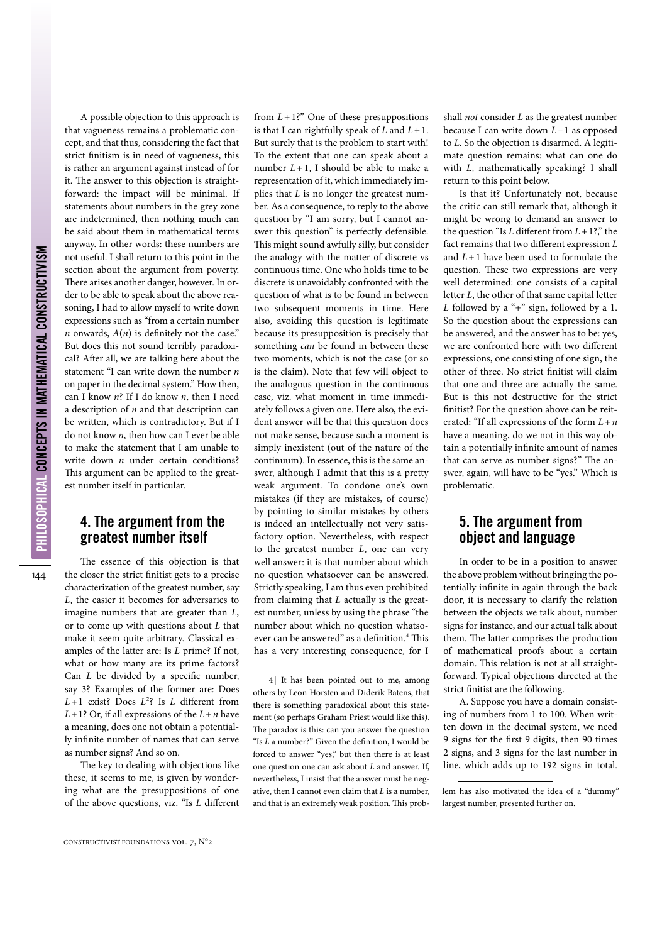A possible objection to this approach is that vagueness remains a problematic concept, and that thus, considering the fact that strict finitism is in need of vagueness, this is rather an argument against instead of for it. The answer to this objection is straightforward: the impact will be minimal. If statements about numbers in the grey zone are indetermined, then nothing much can be said about them in mathematical terms anyway. In other words: these numbers are not useful. I shall return to this point in the section about the argument from poverty. There arises another danger, however. In order to be able to speak about the above reasoning, I had to allow myself to write down expressions such as "from a certain number *n* onwards,  $A(n)$  is definitely not the case." But does this not sound terribly paradoxical? After all, we are talking here about the statement "I can write down the number *n*  on paper in the decimal system." How then, can I know *n*? If I do know *n*, then I need a description of *n* and that description can be written, which is contradictory. But if I do not know *n*, then how can I ever be able to make the statement that I am unable to write down *n* under certain conditions? This argument can be applied to the greatest number itself in particular.

#### **4. The argument from the greatest number itself**

The essence of this objection is that the closer the strict finitist gets to a precise characterization of the greatest number, say *L*, the easier it becomes for adversaries to imagine numbers that are greater than *L*, or to come up with questions about *L* that make it seem quite arbitrary. Classical examples of the latter are: Is *L* prime? If not, what or how many are its prime factors? Can *L* be divided by a specific number, say 3? Examples of the former are: Does *L*+1 exist? Does *L*²? Is *L* different from  $L+1$ ? Or, if all expressions of the  $L+n$  have a meaning, does one not obtain a potentially infinite number of names that can serve as number signs? And so on.

The key to dealing with objections like these, it seems to me, is given by wondering what are the presuppositions of one of the above questions, viz. "Is *L* different from  $L+1$ ?" One of these presuppositions is that I can rightfully speak of *L* and *L*+1. But surely that is the problem to start with! To the extent that one can speak about a number  $L+1$ , I should be able to make a representation of it, which immediately implies that *L* is no longer the greatest number. As a consequence, to reply to the above question by "I am sorry, but I cannot answer this question" is perfectly defensible. This might sound awfully silly, but consider the analogy with the matter of discrete vs continuous time. One who holds time to be discrete is unavoidably confronted with the question of what is to be found in between two subsequent moments in time. Here also, avoiding this question is legitimate because its presupposition is precisely that something *can* be found in between these two moments, which is not the case (or so is the claim). Note that few will object to the analogous question in the continuous case, viz. what moment in time immediately follows a given one. Here also, the evident answer will be that this question does not make sense, because such a moment is simply inexistent (out of the nature of the continuum). In essence, this is the same answer, although I admit that this is a pretty weak argument. To condone one's own mistakes (if they are mistakes, of course) by pointing to similar mistakes by others is indeed an intellectually not very satisfactory option. Nevertheless, with respect to the greatest number *L*, one can very well answer: it is that number about which no question whatsoever can be answered. Strictly speaking, I am thus even prohibited from claiming that *L* actually is the greatest number, unless by using the phrase "the number about which no question whatsoever can be answered" as a definition.<sup>4</sup> This has a very interesting consequence, for I

shall *not* consider *L* as the greatest number because I can write down *L –* 1 as opposed to *L*. So the objection is disarmed. A legitimate question remains: what can one do with *L*, mathematically speaking? I shall return to this point below.

Is that it? Unfortunately not, because the critic can still remark that, although it might be wrong to demand an answer to the question "Is  $L$  different from  $L + 1$ ?," the fact remains that two different expression *L*  and *L*+1 have been used to formulate the question. These two expressions are very well determined: one consists of a capital letter *L*, the other of that same capital letter *L* followed by a "+" sign, followed by a 1. So the question about the expressions can be answered, and the answer has to be: yes, we are confronted here with two different expressions, one consisting of one sign, the other of three. No strict finitist will claim that one and three are actually the same. But is this not destructive for the strict finitist? For the question above can be reiterated: "If all expressions of the form *L*+*n*  have a meaning, do we not in this way obtain a potentially infinite amount of names that can serve as number signs?" The answer, again, will have to be "yes." Which is problematic.

## **5. The argument from object and language**

In order to be in a position to answer the above problem without bringing the potentially infinite in again through the back door, it is necessary to clarify the relation between the objects we talk about, number signs for instance, and our actual talk about them. The latter comprises the production of mathematical proofs about a certain domain. This relation is not at all straightforward. Typical objections directed at the strict finitist are the following.

A. Suppose you have a domain consisting of numbers from 1 to 100. When written down in the decimal system, we need 9 signs for the first 9 digits, then 90 times 2 signs, and 3 signs for the last number in line, which adds up to 192 signs in total.

Constructivist Foundations vol. 7, N°2

<sup>4</sup> | It has been pointed out to me, among others by Leon Horsten and Diderik Batens, that there is something paradoxical about this statement (so perhaps Graham Priest would like this). The paradox is this: can you answer the question "Is *L* a number?" Given the definition, I would be forced to answer "yes," but then there is at least one question one can ask about *L* and answer. If, nevertheless, I insist that the answer must be negative, then I cannot even claim that *L* is a number, and that is an extremely weak position. This prob-

lem has also motivated the idea of a "dummy" largest number, presented further on.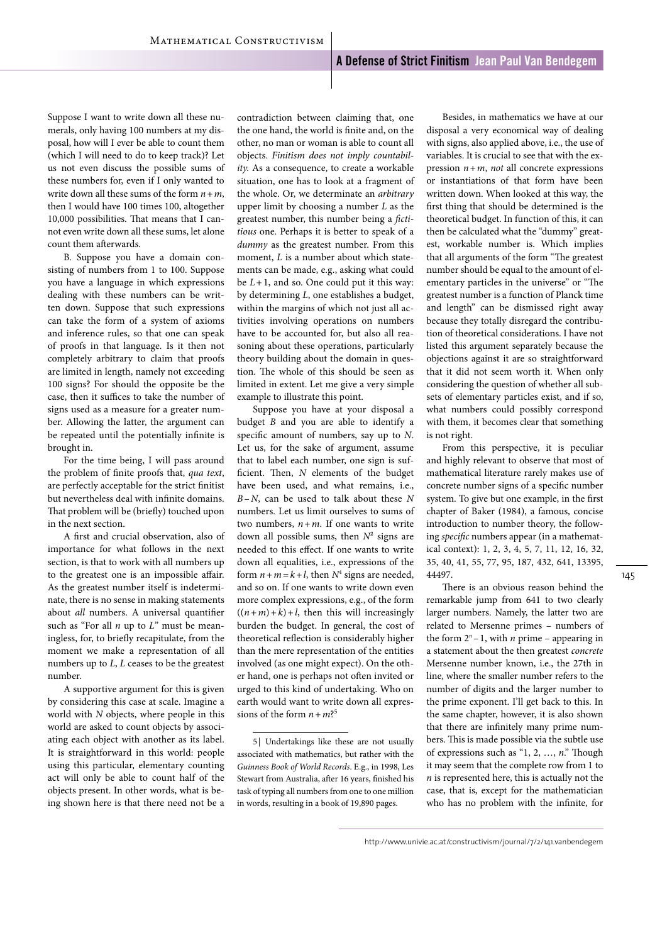Suppose I want to write down all these numerals, only having 100 numbers at my disposal, how will I ever be able to count them (which I will need to do to keep track)? Let us not even discuss the possible sums of these numbers for, even if I only wanted to write down all these sums of the form *n*+*m*, then I would have 100 times 100, altogether 10,000 possibilities. That means that I cannot even write down all these sums, let alone count them afterwards.

B. Suppose you have a domain consisting of numbers from 1 to 100. Suppose you have a language in which expressions dealing with these numbers can be written down. Suppose that such expressions can take the form of a system of axioms and inference rules, so that one can speak of proofs in that language. Is it then not completely arbitrary to claim that proofs are limited in length, namely not exceeding 100 signs? For should the opposite be the case, then it suffices to take the number of signs used as a measure for a greater number. Allowing the latter, the argument can be repeated until the potentially infinite is brought in.

For the time being, I will pass around the problem of finite proofs that, *qua text*, are perfectly acceptable for the strict finitist but nevertheless deal with infinite domains. That problem will be (briefly) touched upon in the next section.

A first and crucial observation, also of importance for what follows in the next section, is that to work with all numbers up to the greatest one is an impossible affair. As the greatest number itself is indeterminate, there is no sense in making statements about *all* numbers. A universal quantifier such as "For all *n* up to *L*" must be meaningless, for, to briefly recapitulate, from the moment we make a representation of all numbers up to *L*, *L* ceases to be the greatest number.

A supportive argument for this is given by considering this case at scale. Imagine a world with *N* objects, where people in this world are asked to count objects by associating each object with another as its label. It is straightforward in this world: people using this particular, elementary counting act will only be able to count half of the objects present. In other words, what is being shown here is that there need not be a

contradiction between claiming that, one the one hand, the world is finite and, on the other, no man or woman is able to count all objects. *Finitism does not imply countability.* As a consequence, to create a workable situation, one has to look at a fragment of the whole. Or, we determinate an *arbitrary* upper limit by choosing a number *L* as the greatest number, this number being a *fictitious* one. Perhaps it is better to speak of a *dummy* as the greatest number. From this moment, *L* is a number about which statements can be made, e.g., asking what could be  $L+1$ , and so. One could put it this way: by determining *L*, one establishes a budget, within the margins of which not just all activities involving operations on numbers have to be accounted for, but also all reasoning about these operations, particularly theory building about the domain in question. The whole of this should be seen as limited in extent. Let me give a very simple example to illustrate this point.

Suppose you have at your disposal a budget *B* and you are able to identify a specific amount of numbers, say up to *N*. Let us, for the sake of argument, assume that to label each number, one sign is sufficient. Then, *N* elements of the budget have been used, and what remains, i.e., *B*–*N*, can be used to talk about these *N* numbers. Let us limit ourselves to sums of two numbers,  $n+m$ . If one wants to write down all possible sums, then *N*² signs are needed to this effect. If one wants to write down all equalities, i.e., expressions of the form  $n + m = k + l$ , then  $N^4$  signs are needed, and so on. If one wants to write down even more complex expressions, e.g., of the form  $((n+m)+k)+l$ , then this will increasingly burden the budget. In general, the cost of theoretical reflection is considerably higher than the mere representation of the entities involved (as one might expect). On the other hand, one is perhaps not often invited or urged to this kind of undertaking. Who on earth would want to write down all expressions of the form  $n + m$ ?<sup>5</sup>

5 | Undertakings like these are not usually associated with mathematics, but rather with the *Guinness Book of World Records*. E.g., in 1998, Les Stewart from Australia, after 16 years, finished his task of typing all numbers from one to one million in words, resulting in a book of 19,890 pages.

Besides, in mathematics we have at our disposal a very economical way of dealing with signs, also applied above, i.e., the use of variables. It is crucial to see that with the expression *n*+*m*, *not* all concrete expressions or instantiations of that form have been written down. When looked at this way, the first thing that should be determined is the theoretical budget. In function of this, it can then be calculated what the "dummy" greatest, workable number is. Which implies that all arguments of the form "The greatest number should be equal to the amount of elementary particles in the universe" or "The greatest number is a function of Planck time and length" can be dismissed right away because they totally disregard the contribution of theoretical considerations. I have not listed this argument separately because the objections against it are so straightforward that it did not seem worth it. When only considering the question of whether all subsets of elementary particles exist, and if so, what numbers could possibly correspond with them, it becomes clear that something is not right.

From this perspective, it is peculiar and highly relevant to observe that most of mathematical literature rarely makes use of concrete number signs of a specific number system. To give but one example, in the first chapter of Baker (1984), a famous, concise introduction to number theory, the following *specific* numbers appear (in a mathematical context): 1, 2, 3, 4, 5, 7, 11, 12, 16, 32, 35, 40, 41, 55, 77, 95, 187, 432, 641, 13395, 44497.

There is an obvious reason behind the remarkable jump from 641 to two clearly larger numbers. Namely, the latter two are related to Mersenne primes – numbers of the form  $2^n - 1$ , with *n* prime – appearing in a statement about the then greatest *concrete* Mersenne number known, i.e., the 27th in line, where the smaller number refers to the number of digits and the larger number to the prime exponent. I'll get back to this. In the same chapter, however, it is also shown that there are infinitely many prime numbers. This is made possible via the subtle use of expressions such as "1, 2, …, *n*." Though it may seem that the complete row from 1 to *n* is represented here, this is actually not the case, that is, except for the mathematician who has no problem with the infinite, for

http://www.univie.ac.at/constructivism/journal/7/2/141.vanbendegem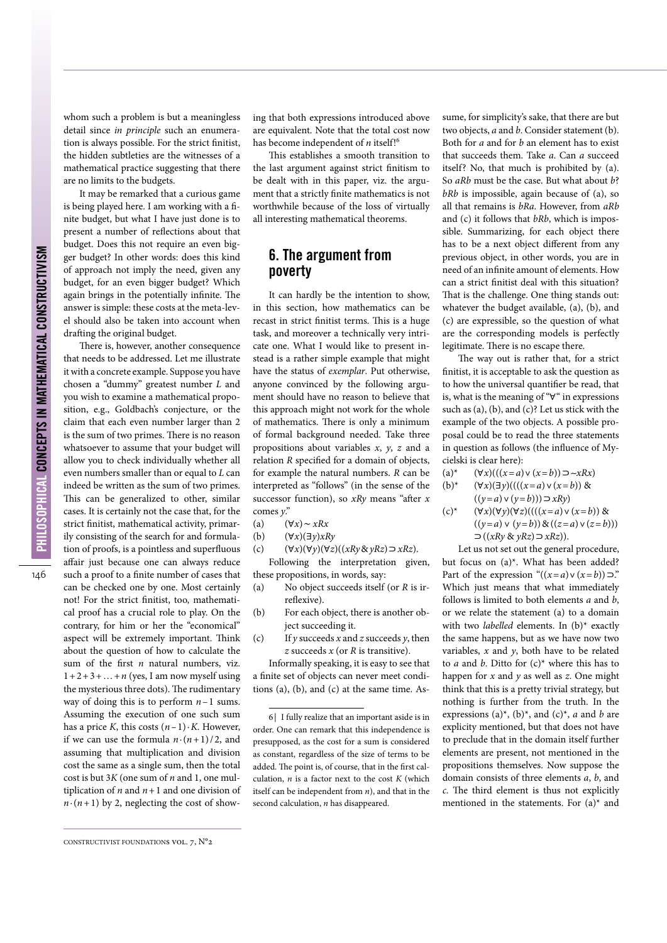whom such a problem is but a meaningless detail since *in principle* such an enumeration is always possible. For the strict finitist, the hidden subtleties are the witnesses of a mathematical practice suggesting that there are no limits to the budgets.

It may be remarked that a curious game is being played here. I am working with a finite budget, but what I have just done is to present a number of reflections about that budget. Does this not require an even bigger budget? In other words: does this kind of approach not imply the need, given any budget, for an even bigger budget? Which again brings in the potentially infinite. The answer is simple: these costs at the meta-level should also be taken into account when drafting the original budget.

There is, however, another consequence that needs to be addressed. Let me illustrate it with a concrete example. Suppose you have chosen a "dummy" greatest number *L* and you wish to examine a mathematical proposition, e.g., Goldbach's conjecture, or the claim that each even number larger than 2 is the sum of two primes. There is no reason whatsoever to assume that your budget will allow you to check individually whether all even numbers smaller than or equal to *L* can indeed be written as the sum of two primes. This can be generalized to other, similar cases. It is certainly not the case that, for the strict finitist, mathematical activity, primarily consisting of the search for and formulation of proofs, is a pointless and superfluous affair just because one can always reduce such a proof to a finite number of cases that can be checked one by one. Most certainly not! For the strict finitist, too, mathematical proof has a crucial role to play. On the contrary, for him or her the "economical" aspect will be extremely important. Think about the question of how to calculate the sum of the first *n* natural numbers, viz.  $1+2+3+\ldots+n$  (yes, I am now myself using the mysterious three dots). The rudimentary way of doing this is to perform *n*–1 sums. Assuming the execution of one such sum has a price *K*, this costs (*n*–1)∙*K*. However, if we can use the formula  $n·(n+1)/2$ , and assuming that multiplication and division cost the same as a single sum, then the total cost is but 3*K* (one sum of *n* and 1, one multiplication of  $n$  and  $n+1$  and one division of *n*⋅(*n*+1) by 2, neglecting the cost of showing that both expressions introduced above are equivalent. Note that the total cost now has become independent of *n* itself!<sup>6</sup>

This establishes a smooth transition to the last argument against strict finitism to be dealt with in this paper, viz. the argument that a strictly finite mathematics is not worthwhile because of the loss of virtually all interesting mathematical theorems.

## **6. The argument from poverty**

It can hardly be the intention to show, in this section, how mathematics can be recast in strict finitist terms. This is a huge task, and moreover a technically very intricate one. What I would like to present instead is a rather simple example that might have the status of *exemplar*. Put otherwise, anyone convinced by the following argument should have no reason to believe that this approach might not work for the whole of mathematics. There is only a minimum of formal background needed. Take three propositions about variables *x*, *y*, *z* and a relation *R* specified for a domain of objects, for example the natural numbers. *R* can be interpreted as "follows" (in the sense of the successor function), so *xRy* means "after *x* comes *y*."

- 
- (a) (∀*x*)∼ *xRx* (b) (∀*x*)(∃*y*)*xRy*

(c) (∀*x*)(∀*y*)(∀*z*)((*xRy*&*yRz*)⊃*xRz*).

Following the interpretation given, these propositions, in words, say:

- (a) No object succeeds itself (or *R* is irreflexive).
- (b) For each object, there is another object succeeding it.
- (c) If *y* succeeds *x* and *z* succeeds *y*, then *z* succeeds *x* (or *R* is transitive).

Informally speaking, it is easy to see that a finite set of objects can never meet conditions (a), (b), and (c) at the same time. Assume, for simplicity's sake, that there are but two objects, *a* and *b*. Consider statement (b). Both for *a* and for *b* an element has to exist that succeeds them. Take *a*. Can *a* succeed itself? No, that much is prohibited by (a). So *aRb* must be the case. But what about *b*? *bRb* is impossible, again because of (a), so all that remains is *bRa*. However, from *aRb*  and (c) it follows that *bRb*, which is impossible. Summarizing, for each object there has to be a next object different from any previous object, in other words, you are in need of an infinite amount of elements. How can a strict finitist deal with this situation? That is the challenge. One thing stands out: whatever the budget available, (a), (b), and (c) are expressible, so the question of what are the corresponding models is perfectly legitimate. There is no escape there.

The way out is rather that, for a strict finitist, it is acceptable to ask the question as to how the universal quantifier be read, that is, what is the meaning of "∀" in expressions such as (a), (b), and (c)? Let us stick with the example of the two objects. A possible proposal could be to read the three statements in question as follows (the influence of Mycielski is clear here):

- (a)\*  $(\forall x)((((x = a) \lor (x = b))) \supset \sim xRx)$ <br>(b)\*  $(\forall x)(\exists \gamma)((((x = a) \lor (x = b)))$  &
- $(\forall x)(\exists y)((((x = a) \vee (x = b)) \&$  $((y=a) ∨ (y=b))) ⊇ xRy)$
- (c)<sup>\*</sup>  $(∀x)(∀y)(∀z)((((x=a) ∨ (x=b)) &$  $((y = a) \vee (y = b)) \& ((z = a) \vee (z = b)))$ ⊃((*xRy* & *yRz*)⊃*xRz*)).

Let us not set out the general procedure, but focus on (a)\*. What has been added? Part of the expression " $((x=a) \vee (x=b)) \supset$ ." Which just means that what immediately follows is limited to both elements *a* and *b*, or we relate the statement (a) to a domain with two *labelled* elements. In (b)\* exactly the same happens, but as we have now two variables, *x* and *y*, both have to be related to *a* and *b*. Ditto for (c)\* where this has to happen for *x* and *y* as well as *z*. One might think that this is a pretty trivial strategy, but nothing is further from the truth. In the expressions (a)\*, (b)\*, and (c)\*, *a* and *b* are explicity mentioned, but that does not have to preclude that in the domain itself further elements are present, not mentioned in the propositions themselves. Now suppose the domain consists of three elements *a*, *b*, and *c*. The third element is thus not explicitly mentioned in the statements. For (a)\* and

Constructivist Foundations vol. 7, N°2

<sup>6</sup> | I fully realize that an important aside is in order. One can remark that this independence is presupposed, as the cost for a sum is considered as constant, regardless of the size of terms to be added. The point is, of course, that in the first calculation, *n* is a factor next to the cost *K* (which itself can be independent from *n*), and that in the second calculation, *n* has disappeared.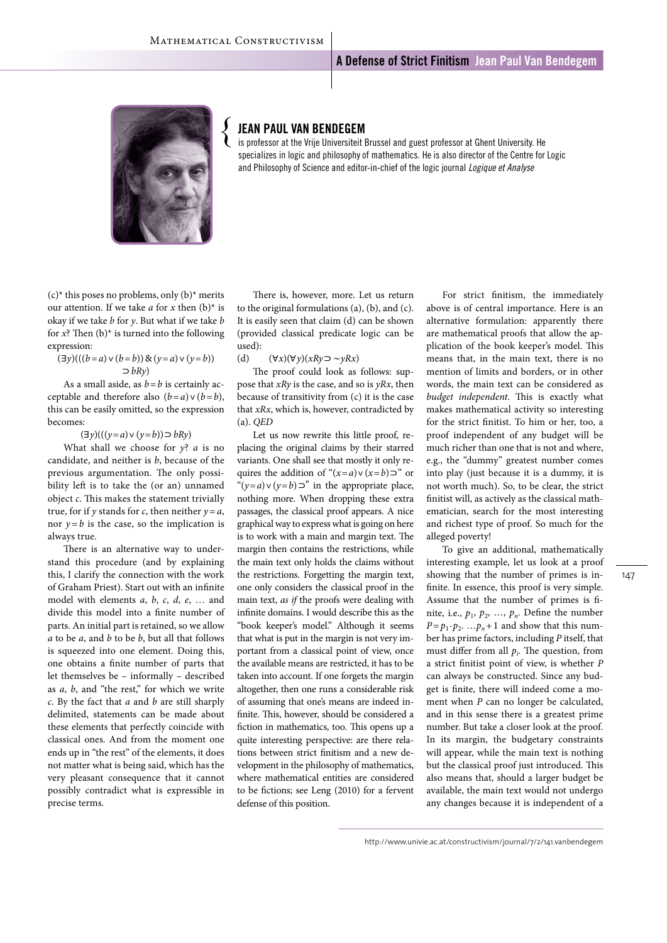

#### **Jean Paul Van Bendegem**

is professor at the Vrije Universiteit Brussel and guest professor at Ghent University. He specializes in logic and philosophy of mathematics. He is also director of the Centre for Logic and Philosophy of Science and editor-in-chief of the logic journal *Logique et Analyse*  $\{$ 

 $(c)^*$  this poses no problems, only  $(b)^*$  merits our attention. If we take *a* for *x* then  $(b)^*$  is okay if we take *b* for *y*. But what if we take *b*  for  $x$ ? Then  $(b)$ <sup>\*</sup> is turned into the following expression:

$$
(\exists y) (((b = a) \vee (b = b)) \& (y = a) \vee (y = b))
$$
  
\n
$$
\supset bRy)
$$

As a small aside, as *b*=*b* is certainly acceptable and therefore also  $(b = a) \vee (b = b)$ , this can be easily omitted, so the expression becomes:

#### (∃*y*)(((*y*=*a*)˅(*y*=*b*))⊃*bRy*)

What shall we choose for *y*? *a* is no candidate, and neither is *b*, because of the previous argumentation. The only possibility left is to take the (or an) unnamed object *c*. This makes the statement trivially true, for if *y* stands for *c*, then neither  $y = a$ , nor  $y = b$  is the case, so the implication is always true.

There is an alternative way to understand this procedure (and by explaining this, I clarify the connection with the work of Graham Priest). Start out with an infinite model with elements *a*, *b*, *c*, *d*, *e*, … and divide this model into a finite number of parts. An initial part is retained, so we allow *a* to be *a*, and *b* to be *b*, but all that follows is squeezed into one element. Doing this, one obtains a finite number of parts that let themselves be – informally – described as *a*, *b*, and "the rest," for which we write *c*. By the fact that *a* and *b* are still sharply delimited, statements can be made about these elements that perfectly coincide with classical ones. And from the moment one ends up in "the rest" of the elements, it does not matter what is being said, which has the very pleasant consequence that it cannot possibly contradict what is expressible in precise terms.

There is, however, more. Let us return to the original formulations (a), (b), and (c). It is easily seen that claim (d) can be shown (provided classical predicate logic can be used):

(d) (∀*x*)(∀*y*)(*xRy*⊃ ∼*yRx*)

The proof could look as follows: suppose that *xRy* is the case, and so is *yRx*, then because of transitivity from (c) it is the case that *xRx*, which is, however, contradicted by (a). *QED*

Let us now rewrite this little proof, replacing the original claims by their starred variants. One shall see that mostly it only requires the addition of " $(x=a) \vee (x=b)$ <sup>"</sup> or  $(y=a) \vee (y=b) \supset$ " in the appropriate place, nothing more. When dropping these extra passages, the classical proof appears. A nice graphical way to express what is going on here is to work with a main and margin text. The margin then contains the restrictions, while the main text only holds the claims without the restrictions. Forgetting the margin text, one only considers the classical proof in the main text, *as if* the proofs were dealing with infinite domains. I would describe this as the "book keeper's model." Although it seems that what is put in the margin is not very important from a classical point of view, once the available means are restricted, it has to be taken into account. If one forgets the margin altogether, then one runs a considerable risk of assuming that one's means are indeed infinite. This, however, should be considered a fiction in mathematics, too. This opens up a quite interesting perspective: are there relations between strict finitism and a new development in the philosophy of mathematics, where mathematical entities are considered to be fictions; see Leng (2010) for a fervent defense of this position.

For strict finitism, the immediately above is of central importance. Here is an alternative formulation: apparently there are mathematical proofs that allow the application of the book keeper's model. This means that, in the main text, there is no mention of limits and borders, or in other words, the main text can be considered as *budget independent*. This is exactly what makes mathematical activity so interesting for the strict finitist. To him or her, too, a proof independent of any budget will be much richer than one that is not and where, e.g., the "dummy" greatest number comes into play (just because it is a dummy, it is not worth much). So, to be clear, the strict finitist will, as actively as the classical mathematician, search for the most interesting and richest type of proof. So much for the alleged poverty!

To give an additional, mathematically interesting example, let us look at a proof showing that the number of primes is infinite. In essence, this proof is very simple. Assume that the number of primes is finite, i.e.,  $p_1$ ,  $p_2$ , ...,  $p_n$ . Define the number  $P=p_1 \cdot p_2$ . … $p_n+1$  and show that this number has prime factors, including *P* itself, that must differ from all  $p_i$ . The question, from a strict finitist point of view, is whether *P*  can always be constructed. Since any budget is finite, there will indeed come a moment when *P* can no longer be calculated, and in this sense there is a greatest prime number. But take a closer look at the proof. In its margin, the budgetary constraints will appear, while the main text is nothing but the classical proof just introduced. This also means that, should a larger budget be available, the main text would not undergo any changes because it is independent of a

http://www.univie.ac.at/constructivism/journal/7/2/141.vanbendegem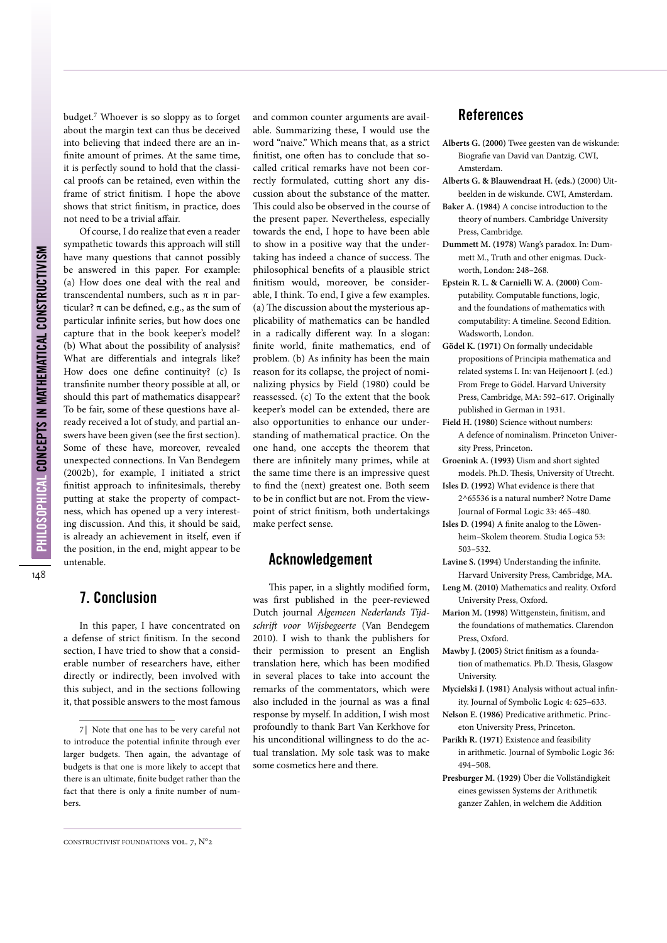budget.<sup>7</sup> Whoever is so sloppy as to forget about the margin text can thus be deceived into believing that indeed there are an infinite amount of primes. At the same time, it is perfectly sound to hold that the classical proofs can be retained, even within the frame of strict finitism. I hope the above shows that strict finitism, in practice, does not need to be a trivial affair.

Of course, I do realize that even a reader sympathetic towards this approach will still have many questions that cannot possibly be answered in this paper. For example: (a) How does one deal with the real and transcendental numbers, such as π in particular?  $\pi$  can be defined, e.g., as the sum of particular infinite series, but how does one capture that in the book keeper's model? (b) What about the possibility of analysis? What are differentials and integrals like? How does one define continuity? (c) Is transfinite number theory possible at all, or should this part of mathematics disappear? To be fair, some of these questions have already received a lot of study, and partial answers have been given (see the first section). Some of these have, moreover, revealed unexpected connections. In Van Bendegem (2002b), for example, I initiated a strict finitist approach to infinitesimals, thereby putting at stake the property of compactness, which has opened up a very interesting discussion. And this, it should be said, is already an achievement in itself, even if the position, in the end, might appear to be untenable.

148

## **7. Conclusion**

In this paper, I have concentrated on a defense of strict finitism. In the second section, I have tried to show that a considerable number of researchers have, either directly or indirectly, been involved with this subject, and in the sections following it, that possible answers to the most famous

and common counter arguments are available. Summarizing these, I would use the word "naive." Which means that, as a strict finitist, one often has to conclude that socalled critical remarks have not been correctly formulated, cutting short any discussion about the substance of the matter. This could also be observed in the course of the present paper. Nevertheless, especially towards the end, I hope to have been able to show in a positive way that the undertaking has indeed a chance of success. The philosophical benefits of a plausible strict finitism would, moreover, be considerable, I think. To end, I give a few examples. (a) The discussion about the mysterious applicability of mathematics can be handled in a radically different way. In a slogan: finite world, finite mathematics, end of problem. (b) As infinity has been the main reason for its collapse, the project of nominalizing physics by Field (1980) could be reassessed. (c) To the extent that the book keeper's model can be extended, there are also opportunities to enhance our understanding of mathematical practice. On the one hand, one accepts the theorem that there are infinitely many primes, while at the same time there is an impressive quest to find the (next) greatest one. Both seem to be in conflict but are not. From the viewpoint of strict finitism, both undertakings make perfect sense.

## **Acknowledgement**

This paper, in a slightly modified form, was first published in the peer-reviewed Dutch journal *Algemeen Nederlands Tijdschrift voor Wijsbegeerte* (Van Bendegem 2010). I wish to thank the publishers for their permission to present an English translation here, which has been modified in several places to take into account the remarks of the commentators, which were also included in the journal as was a final response by myself. In addition, I wish most profoundly to thank Bart Van Kerkhove for his unconditional willingness to do the actual translation. My sole task was to make some cosmetics here and there.

#### **References**

- **Alberts G. (2000)** Twee geesten van de wiskunde: Biografie van David van Dantzig. CWI, Amsterdam.
- **Alberts G. & Blauwendraat H. (eds.)** (2000) Uitbeelden in de wiskunde. CWI, Amsterdam.
- **Baker A. (1984)** A concise introduction to the theory of numbers. Cambridge University Press, Cambridge.
- **Dummett M. (1978)** Wang's paradox. In: Dummett M., Truth and other enigmas. Duckworth, London: 248–268.
- **Epstein R. L. & Carnielli W. A. (2000)** Computability. Computable functions, logic, and the foundations of mathematics with computability: A timeline. Second Edition. Wadsworth, London.
- **Gödel K. (1971)** On formally undecidable propositions of Principia mathematica and related systems I. In: van Heijenoort J. (ed.) From Frege to Gödel. Harvard University Press, Cambridge, MA: 592–617. Originally published in German in 1931.
- **Field H. (1980)** Science without numbers: A defence of nominalism. Princeton University Press, Princeton.
- **Groenink A. (1993)** Uism and short sighted models. Ph.D. Thesis, University of Utrecht.
- **Isles D. (1992)** What evidence is there that 2^65536 is a natural number? Notre Dame Journal of Formal Logic 33: 465–480.
- **Isles D. (1994)** A finite analog to the Löwenheim–Skolem theorem. Studia Logica 53: 503–532.
- **Lavine S. (1994)** Understanding the infinite. Harvard University Press, Cambridge, MA.
- **Leng M. (2010)** Mathematics and reality. Oxford University Press, Oxford.
- **Marion M. (1998)** Wittgenstein, finitism, and the foundations of mathematics. Clarendon Press, Oxford.
- **Mawby J. (2005)** Strict finitism as a foundation of mathematics. Ph.D. Thesis, Glasgow University.
- **Mycielski J. (1981)** Analysis without actual infinity. Journal of Symbolic Logic 4: 625–633.
- **Nelson E. (1986)** Predicative arithmetic. Princeton University Press, Princeton.
- **Parikh R. (1971)** Existence and feasibility in arithmetic. Journal of Symbolic Logic 36: 494–508.
- **Presburger M. (1929)** Über die Vollständigkeit eines gewissen Systems der Arithmetik ganzer Zahlen, in welchem die Addition

<sup>7</sup> | Note that one has to be very careful not to introduce the potential infinite through ever larger budgets. Then again, the advantage of budgets is that one is more likely to accept that there is an ultimate, finite budget rather than the fact that there is only a finite number of numbers.

Constructivist Foundations vol. 7, N°2